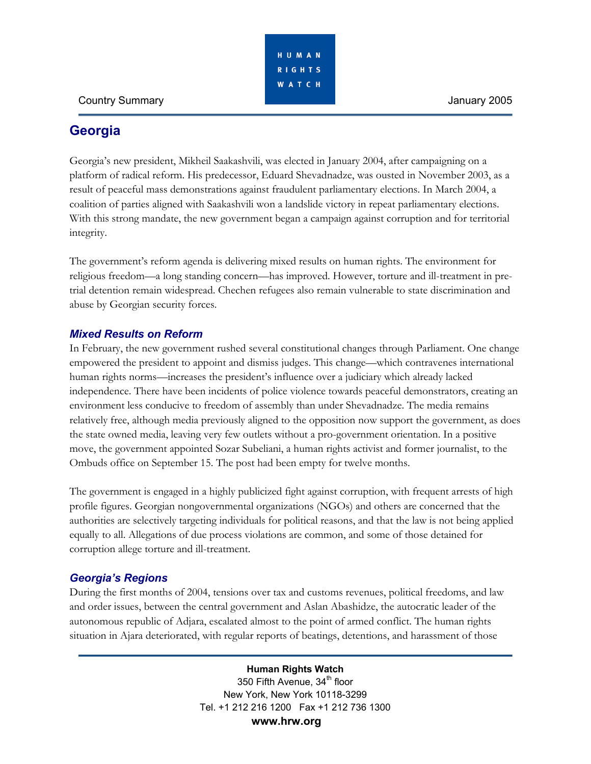### Country Summary January 2005

# **Georgia**

Georgia's new president, Mikheil Saakashvili, was elected in January 2004, after campaigning on a platform of radical reform. His predecessor, Eduard Shevadnadze, was ousted in November 2003, as a result of peaceful mass demonstrations against fraudulent parliamentary elections. In March 2004, a coalition of parties aligned with Saakashvili won a landslide victory in repeat parliamentary elections. With this strong mandate, the new government began a campaign against corruption and for territorial integrity.

The government's reform agenda is delivering mixed results on human rights. The environment for religious freedom—a long standing concern—has improved. However, torture and ill-treatment in pretrial detention remain widespread. Chechen refugees also remain vulnerable to state discrimination and abuse by Georgian security forces.

#### *Mixed Results on Reform*

In February, the new government rushed several constitutional changes through Parliament. One change empowered the president to appoint and dismiss judges. This change—which contravenes international human rights norms—increases the president's influence over a judiciary which already lacked independence. There have been incidents of police violence towards peaceful demonstrators, creating an environment less conducive to freedom of assembly than under Shevadnadze. The media remains relatively free, although media previously aligned to the opposition now support the government, as does the state owned media, leaving very few outlets without a pro-government orientation. In a positive move, the government appointed Sozar Subeliani, a human rights activist and former journalist, to the Ombuds office on September 15. The post had been empty for twelve months.

The government is engaged in a highly publicized fight against corruption, with frequent arrests of high profile figures. Georgian nongovernmental organizations (NGOs) and others are concerned that the authorities are selectively targeting individuals for political reasons, and that the law is not being applied equally to all. Allegations of due process violations are common, and some of those detained for corruption allege torture and ill-treatment.

#### *Georgia's Regions*

During the first months of 2004, tensions over tax and customs revenues, political freedoms, and law and order issues, between the central government and Aslan Abashidze, the autocratic leader of the autonomous republic of Adjara, escalated almost to the point of armed conflict. The human rights situation in Ajara deteriorated, with regular reports of beatings, detentions, and harassment of those

> **Human Rights Watch**  350 Fifth Avenue, 34<sup>th</sup> floor New York, New York 10118-3299 Tel. +1 212 216 1200 Fax +1 212 736 1300  **www.hrw.org**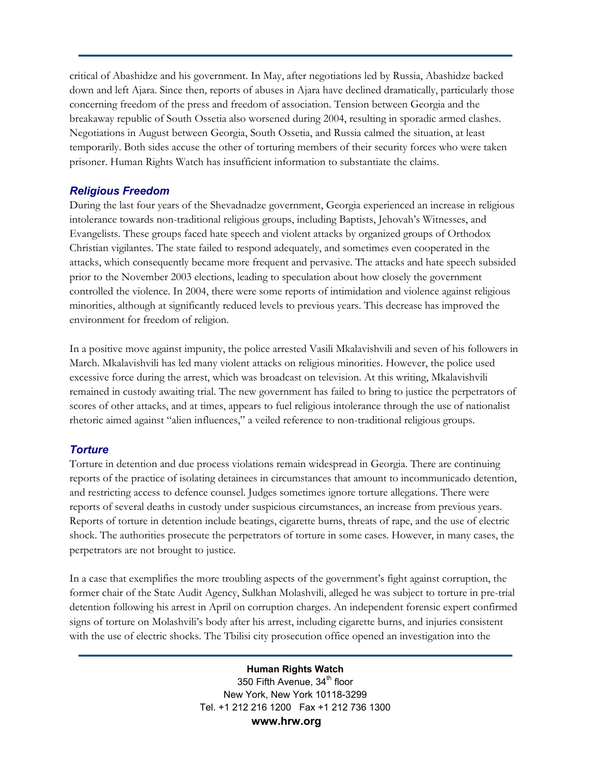critical of Abashidze and his government. In May, after negotiations led by Russia, Abashidze backed down and left Ajara. Since then, reports of abuses in Ajara have declined dramatically, particularly those concerning freedom of the press and freedom of association. Tension between Georgia and the breakaway republic of South Ossetia also worsened during 2004, resulting in sporadic armed clashes. Negotiations in August between Georgia, South Ossetia, and Russia calmed the situation, at least temporarily. Both sides accuse the other of torturing members of their security forces who were taken prisoner. Human Rights Watch has insufficient information to substantiate the claims.

### *Religious Freedom*

During the last four years of the Shevadnadze government, Georgia experienced an increase in religious intolerance towards non-traditional religious groups, including Baptists, Jehovah's Witnesses, and Evangelists. These groups faced hate speech and violent attacks by organized groups of Orthodox Christian vigilantes. The state failed to respond adequately, and sometimes even cooperated in the attacks, which consequently became more frequent and pervasive. The attacks and hate speech subsided prior to the November 2003 elections, leading to speculation about how closely the government controlled the violence. In 2004, there were some reports of intimidation and violence against religious minorities, although at significantly reduced levels to previous years. This decrease has improved the environment for freedom of religion.

In a positive move against impunity, the police arrested Vasili Mkalavishvili and seven of his followers in March. Mkalavishvili has led many violent attacks on religious minorities. However, the police used excessive force during the arrest, which was broadcast on television. At this writing, Mkalavishvili remained in custody awaiting trial. The new government has failed to bring to justice the perpetrators of scores of other attacks, and at times, appears to fuel religious intolerance through the use of nationalist rhetoric aimed against "alien influences," a veiled reference to non-traditional religious groups.

#### *Torture*

Torture in detention and due process violations remain widespread in Georgia. There are continuing reports of the practice of isolating detainees in circumstances that amount to incommunicado detention, and restricting access to defence counsel. Judges sometimes ignore torture allegations. There were reports of several deaths in custody under suspicious circumstances, an increase from previous years. Reports of torture in detention include beatings, cigarette burns, threats of rape, and the use of electric shock. The authorities prosecute the perpetrators of torture in some cases. However, in many cases, the perpetrators are not brought to justice.

In a case that exemplifies the more troubling aspects of the government's fight against corruption, the former chair of the State Audit Agency, Sulkhan Molashvili, alleged he was subject to torture in pre-trial detention following his arrest in April on corruption charges. An independent forensic expert confirmed signs of torture on Molashvili's body after his arrest, including cigarette burns, and injuries consistent with the use of electric shocks. The Tbilisi city prosecution office opened an investigation into the

> **Human Rights Watch**  350 Fifth Avenue, 34<sup>th</sup> floor New York, New York 10118-3299 Tel. +1 212 216 1200 Fax +1 212 736 1300  **www.hrw.org**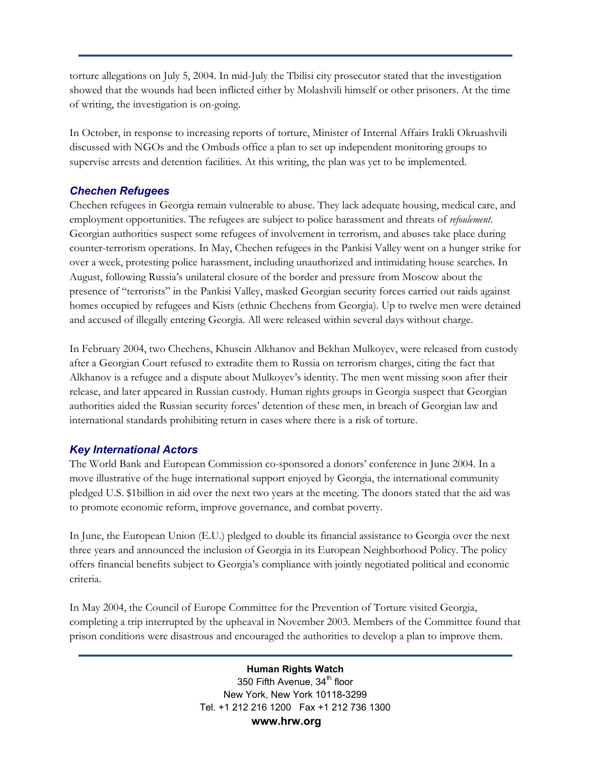torture allegations on July 5, 2004. In mid-July the Tbilisi city prosecutor stated that the investigation showed that the wounds had been inflicted either by Molashvili himself or other prisoners. At the time of writing, the investigation is on-going.

In October, in response to increasing reports of torture, Minister of Internal Affairs Irakli Okruashvili discussed with NGOs and the Ombuds office a plan to set up independent monitoring groups to supervise arrests and detention facilities. At this writing, the plan was yet to be implemented.

### *Chechen Refugees*

Chechen refugees in Georgia remain vulnerable to abuse. They lack adequate housing, medical care, and employment opportunities. The refugees are subject to police harassment and threats of *refoulement*. Georgian authorities suspect some refugees of involvement in terrorism, and abuses take place during counter-terrorism operations. In May, Chechen refugees in the Pankisi Valley went on a hunger strike for over a week, protesting police harassment, including unauthorized and intimidating house searches. In August, following Russia's unilateral closure of the border and pressure from Moscow about the presence of "terrorists" in the Pankisi Valley, masked Georgian security forces carried out raids against homes occupied by refugees and Kists (ethnic Chechens from Georgia). Up to twelve men were detained and accused of illegally entering Georgia. All were released within several days without charge.

In February 2004, two Chechens, Khusein Alkhanov and Bekhan Mulkoyev, were released from custody after a Georgian Court refused to extradite them to Russia on terrorism charges, citing the fact that Alkhanov is a refugee and a dispute about Mulkoyev's identity. The men went missing soon after their release, and later appeared in Russian custody. Human rights groups in Georgia suspect that Georgian authorities aided the Russian security forces' detention of these men, in breach of Georgian law and international standards prohibiting return in cases where there is a risk of torture.

### *Key International Actors*

The World Bank and European Commission co-sponsored a donors' conference in June 2004. In a move illustrative of the huge international support enjoyed by Georgia, the international community pledged U.S. \$1billion in aid over the next two years at the meeting. The donors stated that the aid was to promote economic reform, improve governance, and combat poverty.

In June, the European Union (E.U.) pledged to double its financial assistance to Georgia over the next three years and announced the inclusion of Georgia in its European Neighborhood Policy. The policy offers financial benefits subject to Georgia's compliance with jointly negotiated political and economic criteria.

In May 2004, the Council of Europe Committee for the Prevention of Torture visited Georgia, completing a trip interrupted by the upheaval in November 2003. Members of the Committee found that prison conditions were disastrous and encouraged the authorities to develop a plan to improve them.

> **Human Rights Watch**  350 Fifth Avenue, 34<sup>th</sup> floor New York, New York 10118-3299 Tel. +1 212 216 1200 Fax +1 212 736 1300  **www.hrw.org**